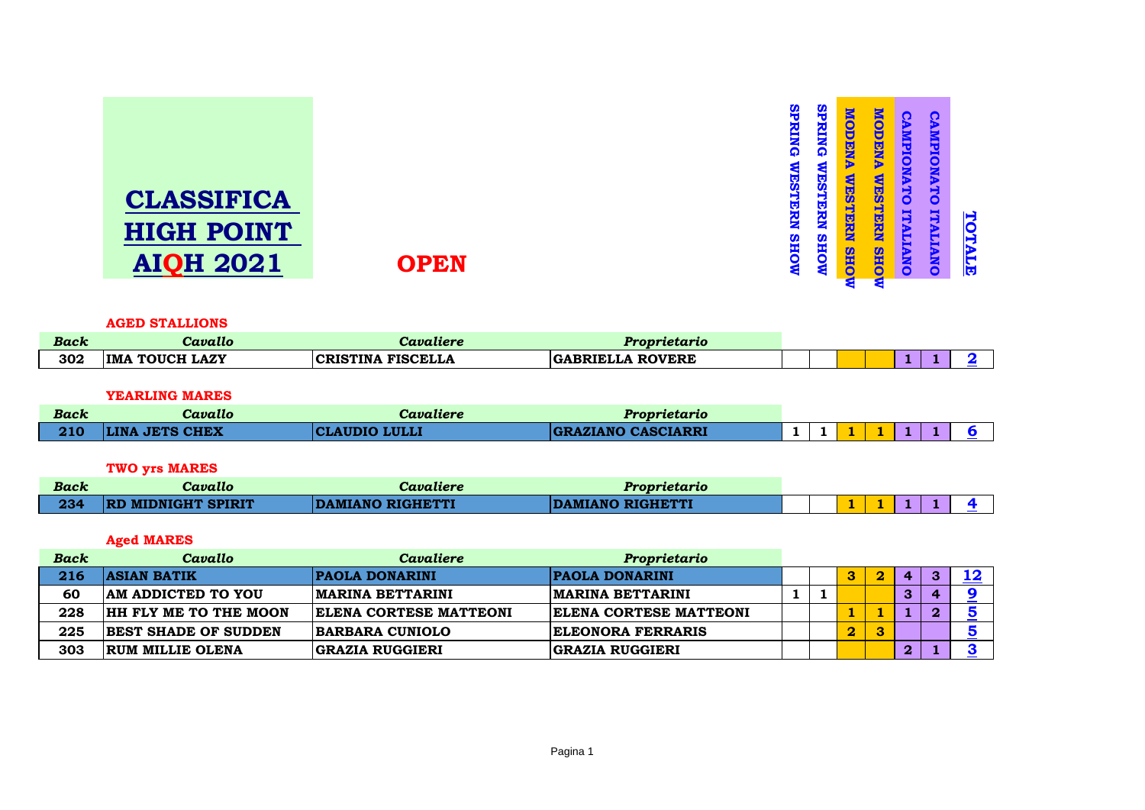| <b>CLASSIFICA</b><br><b>HIGH POINT</b><br><b>AIQH 2021</b> | <b>OPEN</b> | <u>irg</u><br>모<br>낗<br>HOW | 40,<br>$\overline{\phantom{a}}$<br>Z<br>ω<br>막<br>C | Ŏ<br><b>DiaN</b><br>स्<br>ज<br>9<br>낗<br><b>SHO</b> | <b>AMPIO</b><br>DEN<br>5<br>50<br>。<br>の<br>—<br>5<br>9<br>낗<br>Œ<br><b>OHS</b><br><b>ANO</b> | င္မွ<br><b>MPIO</b><br>ъ<br>۳<br>Õ<br>Ę<br>ъ<br>E | <b>TOTALE</b> |
|------------------------------------------------------------|-------------|-----------------------------|-----------------------------------------------------|-----------------------------------------------------|-----------------------------------------------------------------------------------------------|---------------------------------------------------|---------------|
|                                                            |             |                             | $\overline{\phantom{a}}$                            |                                                     | s                                                                                             | O                                                 |               |
|                                                            |             |                             |                                                     |                                                     |                                                                                               |                                                   |               |

### **AGED STALLIONS**

| Back | --<br>Cavallo                   | Cavaliere                | Proprietario                      |  |  |  |  |
|------|---------------------------------|--------------------------|-----------------------------------|--|--|--|--|
| 302  | <b>TOUCH LAZY</b><br><b>IMA</b> | <b>CRISTINA FISCELLA</b> | <b>ROVERE</b><br><b>GABRIELLA</b> |  |  |  |  |

## **YEARLING MARES**

| Back | Cavallo               | Cavaliere            | Proprietario       |  |  |  |  |
|------|-----------------------|----------------------|--------------------|--|--|--|--|
| 210  | <b>LINA JETS CHEX</b> | <b>CLAUDIO LULLI</b> | GRAZIANO CASCIARRI |  |  |  |  |

# **TWO yrs MARES**

| Back | - -<br>Cavallo            | Cavaliere               | Proprietario     |  |  |  |  |
|------|---------------------------|-------------------------|------------------|--|--|--|--|
| 234  | <b>RD MIDNIGHT SPIRIT</b> | <b>DAMIANO RIGHETTI</b> | DAMIANO RIGHETTI |  |  |  |  |

# **Aged MARES**

| <b>Back</b> | Cavallo                      | Cavaliere                | Proprietario                  |  |    |              |   |  |
|-------------|------------------------------|--------------------------|-------------------------------|--|----|--------------|---|--|
| 216         | <b>ASIAN BATIK</b>           | <b>PAOLA DONARINI</b>    | <b>PAOLA DONARINI</b>         |  |    | $\mathbf 4$  | з |  |
| 60          | <b>AM ADDICTED TO YOU</b>    | <b>IMARINA BETTARINI</b> | IMARINA BETTARINI             |  |    |              |   |  |
| 228         | <b>HH FLY ME TO THE MOON</b> | ELENA CORTESE MATTEONI   | <b>ELENA CORTESE MATTEONI</b> |  |    |              | o |  |
| 225         | <b>BEST SHADE OF SUDDEN</b>  | <b>BARBARA CUNIOLO</b>   | <b>ELEONORA FERRARIS</b>      |  | 2. |              |   |  |
| 303         | <b>RUM MILLIE OLENA</b>      | GRAZIA RUGGIERI          | <b>GRAZIA RUGGIERI</b>        |  |    | $\mathbf{2}$ |   |  |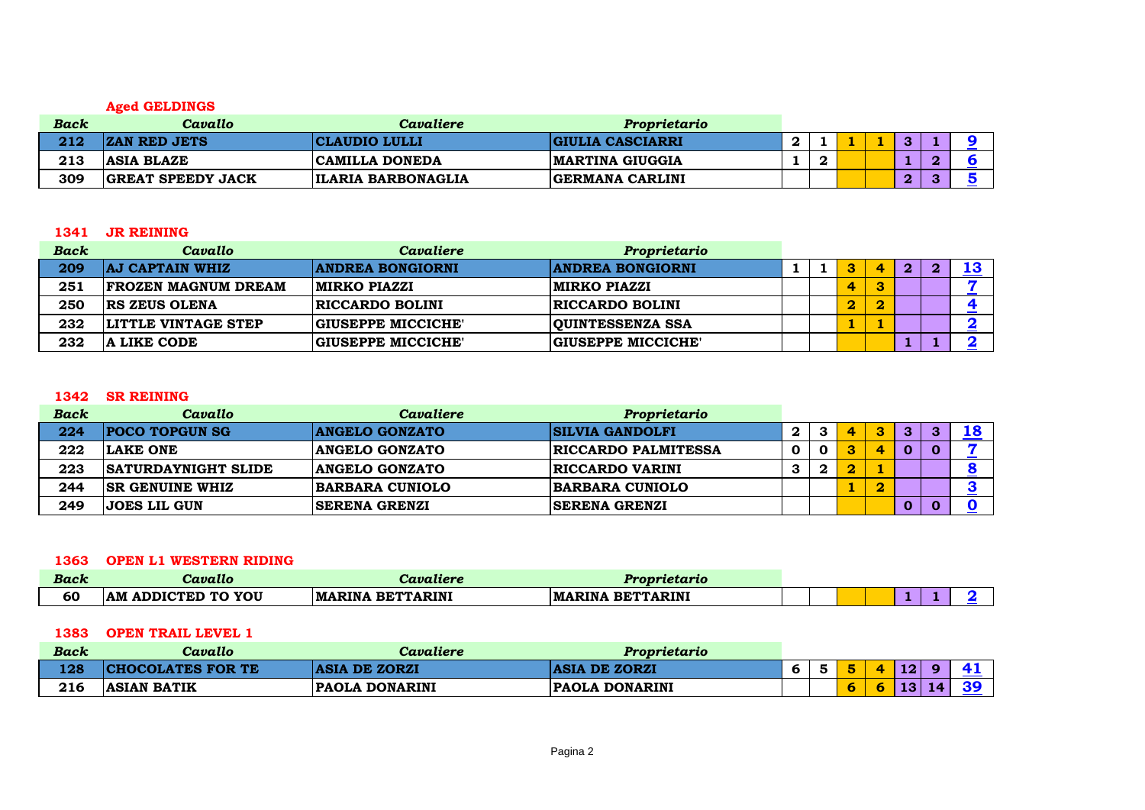# **Aged GELDINGS**

| Back | Cavallo                  | Cavaliere                 | Proprietario            |   |  |  |  |
|------|--------------------------|---------------------------|-------------------------|---|--|--|--|
| 212  | <b>ZAN RED JETS</b>      | <b>CLAUDIO LULLI</b>      | <b>GIULIA CASCIARRI</b> |   |  |  |  |
| 213  | <b>ASIA BLAZE</b>        | <b>CAMILLA DONEDA</b>     | <b>IMARTINA GIUGGIA</b> | r |  |  |  |
| 309  | <b>GREAT SPEEDY JACK</b> | <b>ILARIA BARBONAGLIA</b> | <b>GERMANA CARLINI</b>  |   |  |  |  |

#### **JR REINING**

| <b>Back</b> | Cavallo                    | Cavaliere                 | Proprietario            |  |          |   |              |   |    |
|-------------|----------------------------|---------------------------|-------------------------|--|----------|---|--------------|---|----|
| 209         | <b>AJ CAPTAIN WHIZ</b>     | <b>ANDREA BONGIORNI</b>   | <b>ANDREA BONGIORNI</b> |  |          |   | $\mathbf{2}$ | n | 19 |
| 251         | <b>FROZEN MAGNUM DREAM</b> | <b>MIRKO PIAZZI</b>       | <b>MIRKO PIAZZI</b>     |  | 4        | o |              |   |    |
| 250         | <b>IRS ZEUS OLENA</b>      | <b>RICCARDO BOLINI</b>    | <b>RICCARDO BOLINI</b>  |  | $\bf{2}$ |   |              |   |    |
| 232         | LITTLE VINTAGE STEP        | <b>GIUSEPPE MICCICHE'</b> | <b>QUINTESSENZA SSA</b> |  |          |   |              |   |    |
| 232         | <b>A LIKE CODE</b>         | <b>GIUSEPPE MICCICHE'</b> | GIUSEPPE MICCICHE'      |  |          |   |              |   |    |

#### **SR REINING**

| <b>Back</b> | Cavallo                    | Cavaliere              | Proprietario               |   |   |              |   |   |   |  |
|-------------|----------------------------|------------------------|----------------------------|---|---|--------------|---|---|---|--|
| 224         | <b>POCO TOPGUN SG</b>      | <b>ANGELO GONZATO</b>  | <b>SILVIA GANDOLFI</b>     | 2 | 3 | $\mathbf{a}$ | 3 | з | з |  |
| 222         | LAKE ONE                   | <b>ANGELO GONZATO</b>  | <b>RICCARDO PALMITESSA</b> |   |   |              | Δ |   |   |  |
| 223         | <b>SATURDAYNIGHT SLIDE</b> | <b>ANGELO GONZATO</b>  | <b>RICCARDO VARINI</b>     | З | 2 |              |   |   |   |  |
| 244         | <b>ISR GENUINE WHIZ</b>    | <b>BARBARA CUNIOLO</b> | <b>BARBARA CUNIOLO</b>     |   |   |              | റ |   |   |  |
| 249         | <b>JOES LIL GUN</b>        | <b>ISERENA GRENZI</b>  | <b>SERENA GRENZI</b>       |   |   |              |   |   |   |  |

#### **OPEN L1 WESTERN RIDING**

| Back | Cavallo                                | Cavaliere                         | Proprietario                      |  |  |  |  |
|------|----------------------------------------|-----------------------------------|-----------------------------------|--|--|--|--|
| 60   | <b>I ADDICTED TO YOU</b><br><b>IMA</b> | <b>BETTARINI</b><br><b>MARINA</b> | <b>BETTARINI</b><br><b>MARINA</b> |  |  |  |  |

#### **OPEN TRAIL LEVEL 1**

| <b>Back</b> | Cavallo                 | Cavaliere                       | Proprietario          |   |   |                 |     |  |
|-------------|-------------------------|---------------------------------|-----------------------|---|---|-----------------|-----|--|
| 128         | <b>HOCOLATES FOR TE</b> | DE ZORZI<br><b>ASIA</b>         | <b>ASIA DE ZORZI</b>  | ີ |   | 12 <sub>2</sub> |     |  |
| 216         | <b>ASIAN BATIK</b>      | <b>DONARINI</b><br><b>PAOLA</b> | <b>PAOLA DONARINI</b> |   | ີ | 12 <sub>1</sub> | 1 A |  |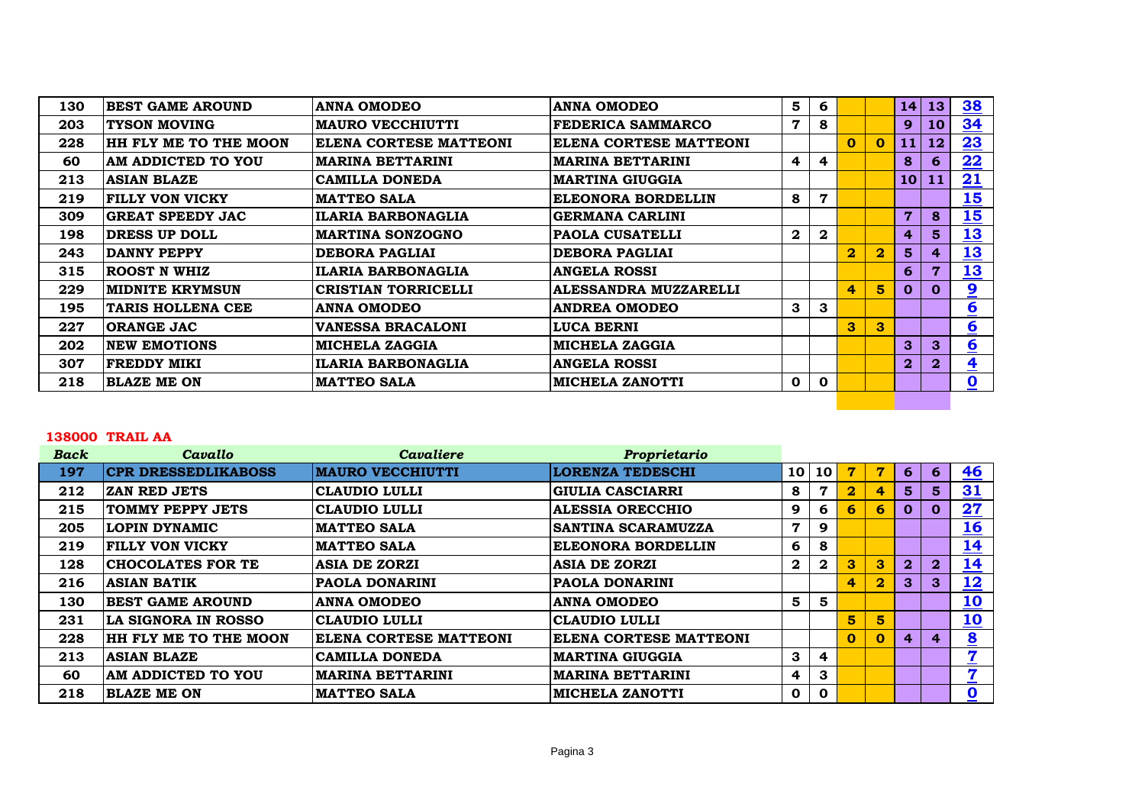| 130 | <b>BEST GAME AROUND</b>   | <b>ANNA OMODEO</b>            | <b>ANNA OMODEO</b>      | 5                       | 6            |                         |                         | 14              | 13             | 38                      |
|-----|---------------------------|-------------------------------|-------------------------|-------------------------|--------------|-------------------------|-------------------------|-----------------|----------------|-------------------------|
| 203 | <b>TYSON MOVING</b>       | <b>MAURO VECCHIUTTI</b>       | FEDERICA SAMMARCO       | 7                       | 8            |                         |                         | 9               | 10             | <u>34</u>               |
| 228 | HH FLY ME TO THE MOON     | <b>ELENA CORTESE MATTEONI</b> | ELENA CORTESE MATTEONI  |                         |              | $\mathbf{0}$            | $\mathbf{O}$            | 11              | 12             | 23                      |
| 60  | <b>AM ADDICTED TO YOU</b> | <b>MARINA BETTARINI</b>       | <b>MARINA BETTARINI</b> | $\overline{\mathbf{4}}$ | 4            |                         |                         | 8 <sup>°</sup>  | 6              | 22                      |
| 213 | <b>ASIAN BLAZE</b>        | <b>CAMILLA DONEDA</b>         | <b>MARTINA GIUGGIA</b>  |                         |              |                         |                         | 10 <sup>1</sup> | 11             | 21                      |
| 219 | <b>FILLY VON VICKY</b>    | <b>MATTEO SALA</b>            | ELEONORA BORDELLIN      | 8                       | 7            |                         |                         |                 |                | 15                      |
| 309 | <b>GREAT SPEEDY JAC</b>   | <b>ILARIA BARBONAGLIA</b>     | <b>GERMANA CARLINI</b>  |                         |              |                         |                         | $\overline{7}$  | 8              | 15                      |
| 198 | <b>DRESS UP DOLL</b>      | <b>MARTINA SONZOGNO</b>       | <b>PAOLA CUSATELLI</b>  | $\overline{\mathbf{2}}$ | $\mathbf{2}$ |                         |                         | $\overline{4}$  | 5 <sup>5</sup> | 13                      |
| 243 | DANNY PEPPY               | <b>DEBORA PAGLIAI</b>         | <b>DEBORA PAGLIAI</b>   |                         |              | $\overline{\mathbf{2}}$ | $\overline{\mathbf{2}}$ | 5 <sup>5</sup>  | 4              | 13                      |
| 315 | <b>ROOST N WHIZ</b>       | <b>ILARIA BARBONAGLIA</b>     | <b>ANGELA ROSSI</b>     |                         |              |                         |                         | 6               | 7              | <u>13</u>               |
| 229 | <b>MIDNITE KRYMSUN</b>    | <b>CRISTIAN TORRICELLI</b>    | ALESSANDRA MUZZARELLI   |                         |              | 4                       | 5 <sup>5</sup>          | $\mathbf{0}$    | $\mathbf 0$    | $\overline{\mathbf{2}}$ |
| 195 | <b>TARIS HOLLENA CEE</b>  | <b>ANNA OMODEO</b>            | <b>ANDREA OMODEO</b>    | 3                       | 3            |                         |                         |                 |                | $\underline{6}$         |
| 227 | <b>ORANGE JAC</b>         | <b>VANESSA BRACALONI</b>      | <b>LUCA BERNI</b>       |                         |              | 3                       | $\mathbf{3}$            |                 |                | $6 \overline{6}$        |
| 202 | <b>NEW EMOTIONS</b>       | <b>MICHELA ZAGGIA</b>         | <b>MICHELA ZAGGIA</b>   |                         |              |                         |                         | 3 <sup>°</sup>  | 3              | 6                       |
| 307 | <b>FREDDY MIKI</b>        | <b>ILARIA BARBONAGLIA</b>     | <b>ANGELA ROSSI</b>     |                         |              |                         |                         | $\overline{2}$  | $\bf{2}$       | $\overline{\mathbf{4}}$ |
| 218 | <b>BLAZE ME ON</b>        | <b>MATTEO SALA</b>            | <b>MICHELA ZANOTTI</b>  | $\mathbf 0$             | $\mathbf 0$  |                         |                         |                 |                | $\overline{\mathbf{0}}$ |
|     |                           |                               |                         |                         |              |                         |                         |                 |                |                         |

### **TRAIL AA**

| <b>Back</b> | Cavallo                      | <b>Cavaliere</b>              | Proprietario              |                 |                         |                         |              |                |                |                         |
|-------------|------------------------------|-------------------------------|---------------------------|-----------------|-------------------------|-------------------------|--------------|----------------|----------------|-------------------------|
| 197         | <b>CPR DRESSEDLIKABOSS</b>   | <b>MAURO VECCHIUTTI</b>       | <b>LORENZA TEDESCHI</b>   | 10 <sub>1</sub> | 10                      | 77                      |              | 6              | 6              | 46                      |
| 212         | <b>ZAN RED JETS</b>          | <b>CLAUDIO LULLI</b>          | <b>GIULIA CASCIARRI</b>   | 8               | 7                       | $\overline{\mathbf{2}}$ |              | 5 <sup>1</sup> | 5 <sup>1</sup> | <u>31</u>               |
| 215         | <b>TOMMY PEPPY JETS</b>      | <b>CLAUDIO LULLI</b>          | <b>ALESSIA ORECCHIO</b>   | 9               | 6                       | 6                       | 6            | $\mathbf{O}$   | $\mathbf 0$    | 27                      |
| 205         | <b>LOPIN DYNAMIC</b>         | <b>MATTEO SALA</b>            | <b>SANTINA SCARAMUZZA</b> | 7               | 9                       |                         |              |                |                | <u>16</u>               |
| 219         | <b>FILLY VON VICKY</b>       | <b>MATTEO SALA</b>            | <b>ELEONORA BORDELLIN</b> | 6               | 8                       |                         |              |                |                | <u> 14</u>              |
| 128         | <b>CHOCOLATES FOR TE</b>     | <b>ASIA DE ZORZI</b>          | <b>ASIA DE ZORZI</b>      | $\mathbf{2}$    | $\boldsymbol{2}$        | 3                       | 3            | $\overline{2}$ | $\overline{2}$ | 14                      |
| 216         | <b>ASIAN BATIK</b>           | <b>PAOLA DONARINI</b>         | <b>PAOLA DONARINI</b>     |                 |                         | 4                       | $\mathbf 2$  | 3 <sup>°</sup> | 3              | <u>12</u>               |
| 130         | <b>BEST GAME AROUND</b>      | <b>ANNA OMODEO</b>            | <b>ANNA OMODEO</b>        | 5               | 5                       |                         |              |                |                | <u>10</u>               |
| 231         | LA SIGNORA IN ROSSO          | CLAUDIO LULLI                 | CLAUDIO LULLI             |                 |                         | 5                       | 5            |                |                | <u>10</u>               |
| 228         | <b>HH FLY ME TO THE MOON</b> | <b>ELENA CORTESE MATTEONI</b> | ELENA CORTESE MATTEONI    |                 |                         | $\bf{0}$                | $\mathbf{O}$ | 4              | $\overline{4}$ | $\overline{\mathbf{8}}$ |
| 213         | <b>ASIAN BLAZE</b>           | <b>CAMILLA DONEDA</b>         | <b>MARTINA GIUGGIA</b>    | 3               | $\overline{\mathbf{r}}$ |                         |              |                |                | 7                       |
| 60          | AM ADDICTED TO YOU           | <b>MARINA BETTARINI</b>       | <b>MARINA BETTARINI</b>   | 4               | 3                       |                         |              |                |                | $\overline{ }$          |
| 218         | <b>BLAZE ME ON</b>           | <b>MATTEO SALA</b>            | <b>MICHELA ZANOTTI</b>    | $\mathbf 0$     | $\mathbf 0$             |                         |              |                |                | $\overline{\mathbf{0}}$ |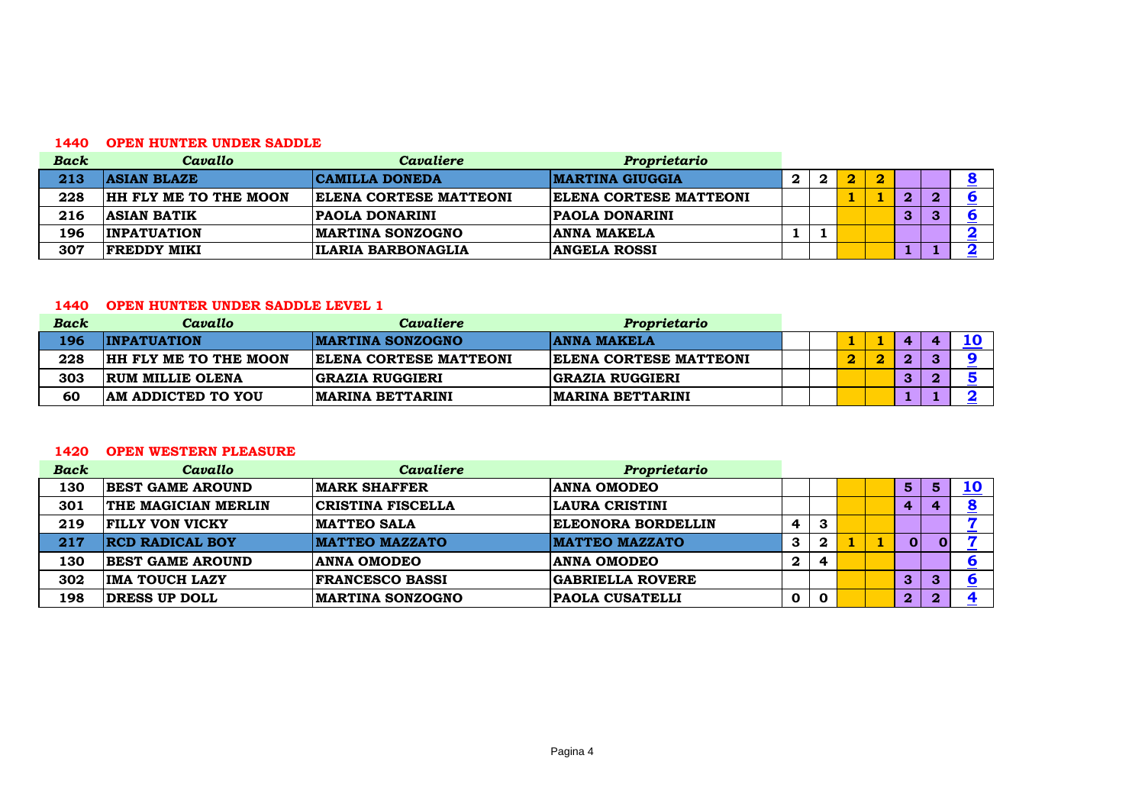#### **OPEN HUNTER UNDER SADDLE**

| <b>Back</b> | Cavallo                      | Cavaliere                     | Proprietario                  |   |   |   |    |    |  |
|-------------|------------------------------|-------------------------------|-------------------------------|---|---|---|----|----|--|
| 213         | <b>ASIAN BLAZE</b>           | <b>CAMILLA DONEDA</b>         | <b>IMARTINA GIUGGIA</b>       | 2 | 2 | 2 |    |    |  |
| 228         | <b>HH FLY ME TO THE MOON</b> | <b>ELENA CORTESE MATTEONI</b> | <b>ELENA CORTESE MATTEONI</b> |   |   |   | o. | O. |  |
| 216         | <b>ASIAN BATIK</b>           | <b>PAOLA DONARINI</b>         | <b>PAOLA DONARINI</b>         |   |   |   | 3  | ◠  |  |
| 196         | <b>INPATUATION</b>           | <b>MARTINA SONZOGNO</b>       | <b>ANNA MAKELA</b>            |   |   |   |    |    |  |
| 307         | <b>FREDDY MIKI</b>           | ILARIA BARBONAGLIA            | <b>ANGELA ROSSI</b>           |   |   |   |    |    |  |

## **OPEN HUNTER UNDER SADDLE LEVEL 1**

| <b>Back</b> | Cavallo                      | Cavaliere                     | Proprietario                  |  |  |                  |   |  |
|-------------|------------------------------|-------------------------------|-------------------------------|--|--|------------------|---|--|
| 196         | <b>INPATUATION</b>           | <b>IMARTINA SONZOGNO</b>      | <b>ANNA MAKELA</b>            |  |  | $\boldsymbol{a}$ | Æ |  |
| 228         | <b>HH FLY ME TO THE MOON</b> | <b>ELENA CORTESE MATTEONI</b> | <b>ELENA CORTESE MATTEONI</b> |  |  |                  |   |  |
| 303         | <b>RUM MILLIE OLENA</b>      | <b>GRAZIA RUGGIERI</b>        | <b>GRAZIA RUGGIERI</b>        |  |  |                  |   |  |
| 60          | <b>AM ADDICTED TO YOU</b>    | <b>IMARINA BETTARINI</b>      | <b>MARINA BETTARINI</b>       |  |  |                  |   |  |

#### **OPEN WESTERN PLEASURE**

| <b>Back</b> | Cavallo                    | Cavaliere                | Proprietario              |          |             |  |                  |    |           |
|-------------|----------------------------|--------------------------|---------------------------|----------|-------------|--|------------------|----|-----------|
| 130         | <b>BEST GAME AROUND</b>    | <b>MARK SHAFFER</b>      | <b>ANNA OMODEO</b>        |          |             |  | $5\phantom{1}$   | 5. | <b>10</b> |
| 301         | <b>THE MAGICIAN MERLIN</b> | <b>CRISTINA FISCELLA</b> | LAURA CRISTINI            |          |             |  | $\boldsymbol{4}$ |    |           |
| 219         | <b>FILLY VON VICKY</b>     | <b>MATTEO SALA</b>       | <b>ELEONORA BORDELLIN</b> | 4        | 3           |  |                  |    |           |
| 217         | <b>RCD RADICAL BOY</b>     | <b>MATTEO MAZZATO</b>    | <b>MATTEO MAZZATO</b>     | 3        | $\mathbf 2$ |  | $\bf{0}$         |    |           |
| 130         | <b>BEST GAME AROUND</b>    | <b>ANNA OMODEO</b>       | <b>ANNA OMODEO</b>        | $\bf{2}$ |             |  |                  |    |           |
| 302         | <b>IMA TOUCH LAZY</b>      | <b>FRANCESCO BASSI</b>   | <b>GABRIELLA ROVERE</b>   |          |             |  | $\mathbf{3}$     | 3  |           |
| 198         | DRESS UP DOLL              | <b>IMARTINA SONZOGNO</b> | <b>PAOLA CUSATELLI</b>    | O        | $\mathbf 0$ |  | $\boldsymbol{2}$ | 2  |           |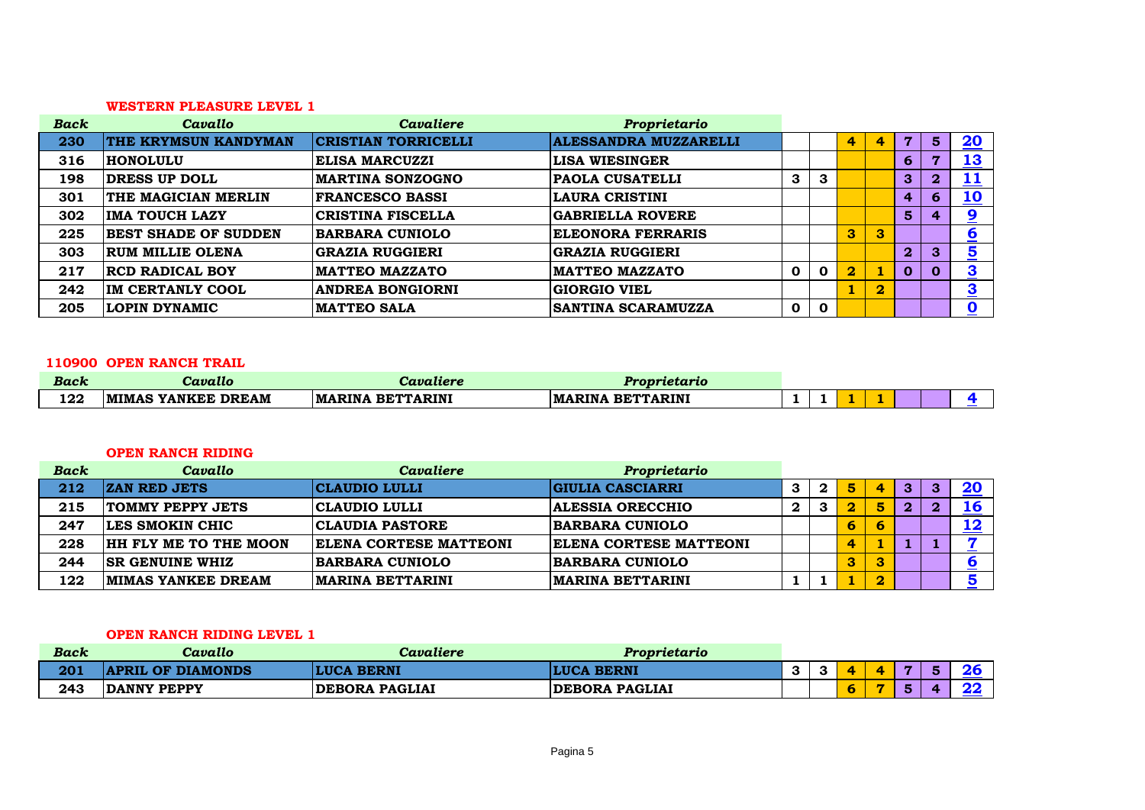#### **WESTERN PLEASURE LEVEL 1**

| <b>Back</b> | Cavallo                     | Cavaliere                  | Proprietario                 |             |             |                         |             |                |                |                         |
|-------------|-----------------------------|----------------------------|------------------------------|-------------|-------------|-------------------------|-------------|----------------|----------------|-------------------------|
| 230         | <b>THE KRYMSUN KANDYMAN</b> | <b>CRISTIAN TORRICELLI</b> | <b>ALESSANDRA MUZZARELLI</b> |             |             | 4                       | 4           | 7              | 5 <sup>1</sup> | <u>20</u>               |
| 316         | <b>HONOLULU</b>             | <b>ELISA MARCUZZI</b>      | <b>LISA WIESINGER</b>        |             |             |                         |             | 6              | −              | <u>13</u>               |
| 198         | DRESS UP DOLL               | <b>MARTINA SONZOGNO</b>    | <b>PAOLA CUSATELLI</b>       | 3           | 3           |                         |             | 3              | $\overline{2}$ | <u> 11</u>              |
| 301         | THE MAGICIAN MERLIN         | <b>FRANCESCO BASSI</b>     | <b>LAURA CRISTINI</b>        |             |             |                         |             | 4              | 6              | <u>10</u>               |
| 302         | <b>IMA TOUCH LAZY</b>       | <b>CRISTINA FISCELLA</b>   | <b>GABRIELLA ROVERE</b>      |             |             |                         |             | $5\phantom{1}$ |                | 9                       |
| 225         | <b>BEST SHADE OF SUDDEN</b> | <b>BARBARA CUNIOLO</b>     | <b>ELEONORA FERRARIS</b>     |             |             | 3                       | 3           |                |                | $\underline{6}$         |
| 303         | <b>RUM MILLIE OLENA</b>     | <b>GRAZIA RUGGIERI</b>     | <b>GRAZIA RUGGIERI</b>       |             |             |                         |             | $\mathbf{2}$   | 3              | $\overline{\mathbf{5}}$ |
| 217         | <b>RCD RADICAL BOY</b>      | <b>MATTEO MAZZATO</b>      | <b>MATTEO MAZZATO</b>        | $\mathbf 0$ | $\mathbf 0$ | $\overline{\mathbf{2}}$ |             | $\mathbf 0$    |                | 3<br><u>_</u>           |
| 242         | IM CERTANLY COOL            | <b>ANDREA BONGIORNI</b>    | <b>GIORGIO VIEL</b>          |             |             |                         | $\mathbf 2$ |                |                | $\overline{\mathbf{3}}$ |
| 205         | <b>LOPIN DYNAMIC</b>        | <b>MATTEO SALA</b>         | <b>SANTINA SCARAMUZZA</b>    | $\mathbf 0$ | $\mathbf 0$ |                         |             |                |                | 0                       |

#### **OPEN RANCH TRAIL**

| Back | Cavallo                                  | Cavaliere                          | Proprietario                                   |  |  |  |  |
|------|------------------------------------------|------------------------------------|------------------------------------------------|--|--|--|--|
| 122  | <b>DREAM</b><br><b>MIMAS</b><br>S YANKEE | <b>BETTARINI</b><br><b>IMARINA</b> | <b>BETTARINI</b><br><b>RINA</b><br><b>IMAR</b> |  |  |  |  |

#### **OPEN RANCH RIDING**

| <b>Back</b> | Cavallo                      | Cavaliere                | Proprietario                  |   |   |   |   |            |
|-------------|------------------------------|--------------------------|-------------------------------|---|---|---|---|------------|
| 212         | <b>ZAN RED JETS</b>          | CLAUDIO LULLI            | GIULIA CASCIARRI              | 2 | 5 | 4 | 3 | <b>20</b>  |
| 215         | <b>TOMMY PEPPY JETS</b>      | CLAUDIO LULLI            | <b>ALESSIA ORECCHIO</b>       | 3 | 2 | 5 | 2 | 16         |
| 247         | LES SMOKIN CHIC              | <b>CLAUDIA PASTORE</b>   | <b>BARBARA CUNIOLO</b>        |   | 6 |   |   | <u> 12</u> |
| 228         | <b>HH FLY ME TO THE MOON</b> | ELENA CORTESE MATTEONI   | <b>ELENA CORTESE MATTEONI</b> |   | 4 |   |   |            |
| 244         | <b>ISR GENUINE WHIZ</b>      | <b>BARBARA CUNIOLO</b>   | <b>BARBARA CUNIOLO</b>        |   | 3 |   |   |            |
| 122         | <b>IMIMAS YANKEE DREAM</b>   | <b>IMARINA BETTARINI</b> | <b>IMARINA BETTARINI</b>      |   |   |   |   |            |

## **OPEN RANCH RIDING LEVEL 1**

| <b>Back</b> | Cavallo                  | Cavaliere             | Proprietario          |           |   |  |  |
|-------------|--------------------------|-----------------------|-----------------------|-----------|---|--|--|
| 201         | <b>\PRIL OF DIAMONDS</b> | <b>LUCA BERNI</b>     | <b>LUCA BERNI</b>     | c<br>- 65 |   |  |  |
| 243         | DANNY PEPPY              | <b>DEBORA PAGLIAI</b> | <b>DEBORA PAGLIAI</b> |           | О |  |  |